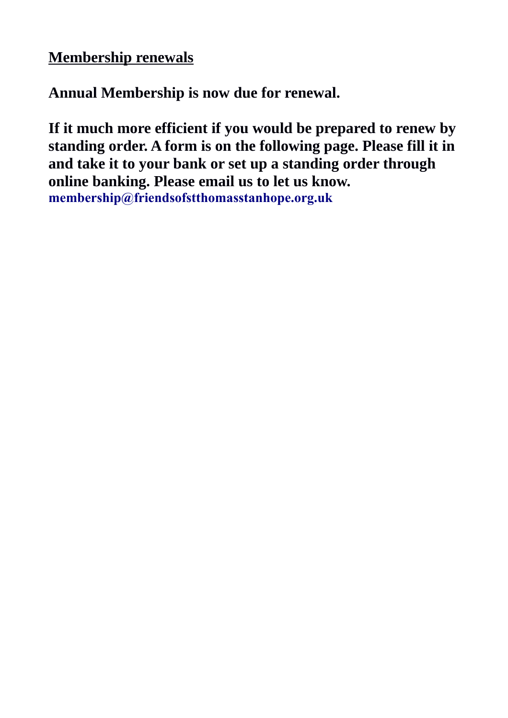## **Membership renewals**

**Annual Membership is now due for renewal.** 

**If it much more efficient if you would be prepared to renew by standing order. A form is on the following page. Please fill it in and take it to your bank or set up a standing order through online banking. Please email us to let us know. [membership@friendsofstthomasstanhope.org.uk](mailto:membership@friendsofstthomasstanhope.org.uk)**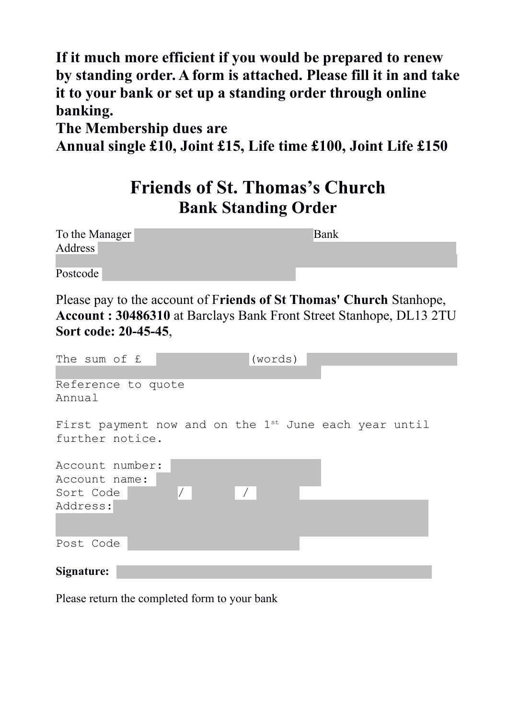**If it much more efficient if you would be prepared to renew by standing order. A form is attached. Please fill it in and take it to your bank or set up a standing order through online banking.** 

**The Membership dues are** 

**Annual single £10, Joint £15, Life time £100, Joint Life £150**

## **Friends of St. Thomas's Church Bank Standing Order**

| To the Manager | Bank |
|----------------|------|
| Address        |      |
|                |      |
| Postcode       |      |

Please pay to the account of F**riends of St Thomas' Church** Stanhope, **Account : 30486310** at Barclays Bank Front Street Stanhope, DL13 2TU **Sort code: 20-45-45**,

| The sum of £       | (words)                                                           |  |
|--------------------|-------------------------------------------------------------------|--|
|                    |                                                                   |  |
| Reference to quote |                                                                   |  |
| Annual             |                                                                   |  |
|                    |                                                                   |  |
|                    | First payment now and on the 1 <sup>st</sup> June each year until |  |
| further notice.    |                                                                   |  |
|                    |                                                                   |  |
| Account number:    |                                                                   |  |
| Account name:      |                                                                   |  |
| Sort Code          | $\vert$ /                                                         |  |
| Address:           |                                                                   |  |
|                    |                                                                   |  |
|                    |                                                                   |  |
| Post Code          |                                                                   |  |
|                    |                                                                   |  |
| Signature:         |                                                                   |  |

Please return the completed form to your bank